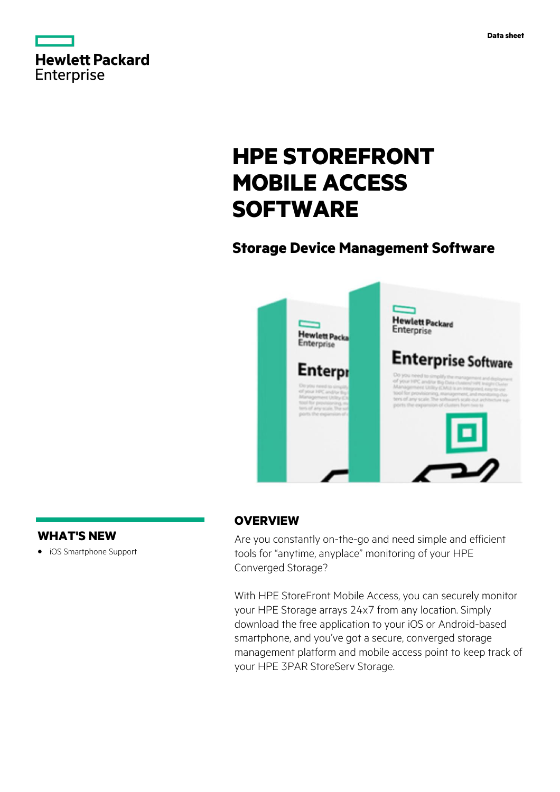

# **HPE STOREFRONT MOBILE ACCESS SOFTWARE**

# **Storage Device Management Software**



# **WHAT'S NEW**

**·** iOS Smartphone Support

# **OVERVIEW**

Are you constantly on-the-go and need simple and efficient tools for "anytime, anyplace" monitoring of your HPE Converged Storage?

With HPE StoreFront Mobile Access, you can securely monitor your HPE Storage arrays 24x7 from any location. Simply download the free application to your iOS or Android-based smartphone, and you've got a secure, converged storage management platform and mobile access point to keep track of your HPE 3PAR StoreServ Storage.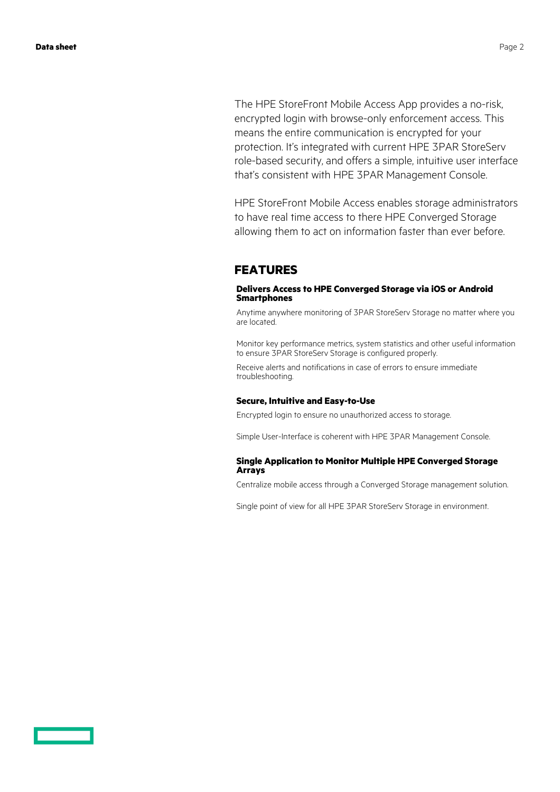The HPE StoreFront Mobile Access App provides a no-risk, encrypted login with browse-only enforcement access. This means the entire communication is encrypted for your protection. It's integrated with current HPE 3PAR StoreServ role-based security, and offers a simple, intuitive user interface that's consistent with HPE 3PAR Management Console.

HPE StoreFront Mobile Access enables storage administrators to have real time access to there HPE Converged Storage allowing them to act on information faster than ever before.

#### **FEATURES**

#### **Delivers Access to HPE Converged Storage via iOS or Android Smartphones**

Anytime anywhere monitoring of 3PAR StoreServ Storage no matter where you are located.

Monitor key performance metrics, system statistics and other useful information to ensure 3PAR StoreServ Storage is configured properly.

Receive alerts and notifications in case of errors to ensure immediate troubleshooting.

#### **Secure, Intuitive and Easy-to-Use**

Encrypted login to ensure no unauthorized access to storage.

Simple User-Interface is coherent with HPE 3PAR Management Console.

#### **Single Application to Monitor Multiple HPE Converged Storage Arrays**

Centralize mobile access through a Converged Storage management solution.

Single point of view for all HPE 3PAR StoreServ Storage in environment.